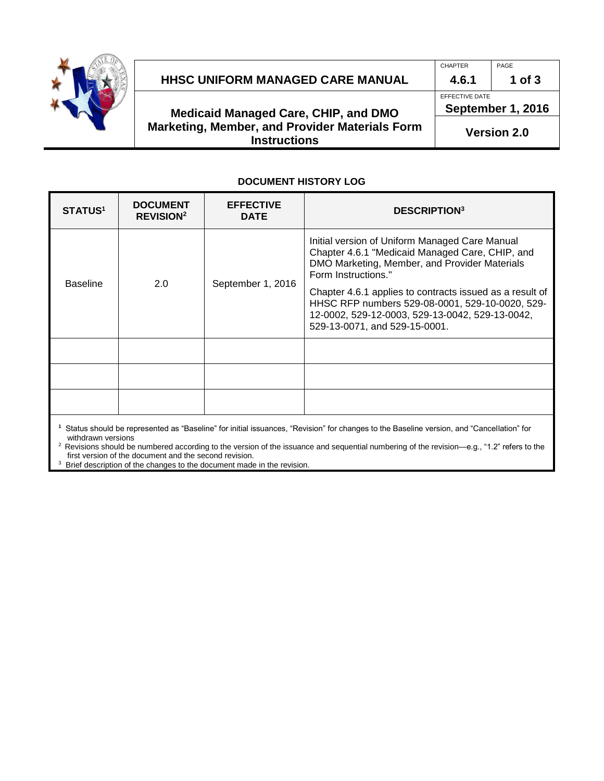

#### **HHSC UNIFORM MANAGED CARE MANUAL 4.6.1 1 of 3**

#### **Medicaid Managed Care, CHIP, and DMO Marketing, Member, and Provider Materials Form Instructions**

CHAPTER PAGE

EFFECTIVE DATE

**September 1, 2016**

**Version 2.0**

#### **DOCUMENT HISTORY LOG**

| <b>STATUS<sup>1</sup></b> | <b>DOCUMENT</b><br><b>REVISION<sup>2</sup></b> | <b>EFFECTIVE</b><br><b>DATE</b> | <b>DESCRIPTION</b> <sup>3</sup>                                                                                                                                                                 |
|---------------------------|------------------------------------------------|---------------------------------|-------------------------------------------------------------------------------------------------------------------------------------------------------------------------------------------------|
| <b>Baseline</b>           | 2.0                                            | September 1, 2016               | Initial version of Uniform Managed Care Manual<br>Chapter 4.6.1 "Medicaid Managed Care, CHIP, and<br>DMO Marketing, Member, and Provider Materials<br>Form Instructions."                       |
|                           |                                                |                                 | Chapter 4.6.1 applies to contracts issued as a result of<br>HHSC RFP numbers 529-08-0001, 529-10-0020, 529-<br>12-0002, 529-12-0003, 529-13-0042, 529-13-0042,<br>529-13-0071, and 529-15-0001. |
|                           |                                                |                                 |                                                                                                                                                                                                 |
|                           |                                                |                                 |                                                                                                                                                                                                 |
|                           |                                                |                                 |                                                                                                                                                                                                 |

**1** Status should be represented as "Baseline" for initial issuances, "Revision" for changes to the Baseline version, and "Cancellation" for withdrawn versions

2 Revisions should be numbered according to the version of the issuance and sequential numbering of the revision—e.g., "1.2" refers to the first version of the document and the second revision.

<sup>3</sup> Brief description of the changes to the document made in the revision.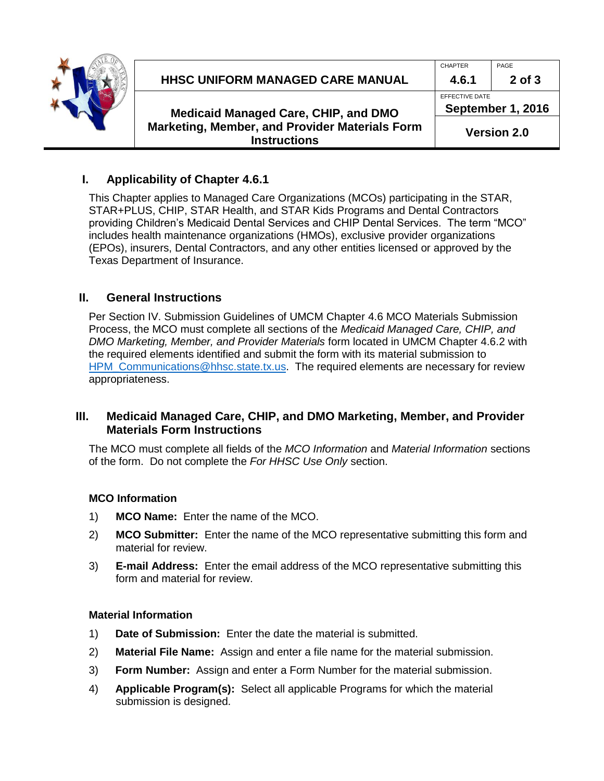

## **HHSC UNIFORM MANAGED CARE MANUAL 4.6.1 2 of 3**

**Medicaid Managed Care, CHIP, and DMO Marketing, Member, and Provider Materials Form Instructions**

CHAPTER PAGE

EFFECTIVE DATE **September 1, 2016**

**Version 2.0**

# **I. Applicability of Chapter 4.6.1**

This Chapter applies to Managed Care Organizations (MCOs) participating in the STAR, STAR+PLUS, CHIP, STAR Health, and STAR Kids Programs and Dental Contractors providing Children's Medicaid Dental Services and CHIP Dental Services. The term "MCO" includes health maintenance organizations (HMOs), exclusive provider organizations (EPOs), insurers, Dental Contractors, and any other entities licensed or approved by the Texas Department of Insurance.

## **II. General Instructions**

Per Section IV. Submission Guidelines of UMCM Chapter 4.6 MCO Materials Submission Process, the MCO must complete all sections of the *Medicaid Managed Care, CHIP, and DMO Marketing, Member, and Provider Materials* form located in UMCM Chapter 4.6.2 with the required elements identified and submit the form with its material submission to HPM Communications@hhsc.state.tx.us. The required elements are necessary for review appropriateness.

## **III. Medicaid Managed Care, CHIP, and DMO Marketing, Member, and Provider Materials Form Instructions**

The MCO must complete all fields of the *MCO Information* and *Material Information* sections of the form. Do not complete the *For HHSC Use Only* section.

## **MCO Information**

- 1) **MCO Name:** Enter the name of the MCO.
- 2) **MCO Submitter:** Enter the name of the MCO representative submitting this form and material for review.
- 3) **E-mail Address:** Enter the email address of the MCO representative submitting this form and material for review.

## **Material Information**

- 1) **Date of Submission:** Enter the date the material is submitted.
- 2) **Material File Name:** Assign and enter a file name for the material submission.
- 3) **Form Number:** Assign and enter a Form Number for the material submission.
- 4) **Applicable Program(s):** Select all applicable Programs for which the material submission is designed.